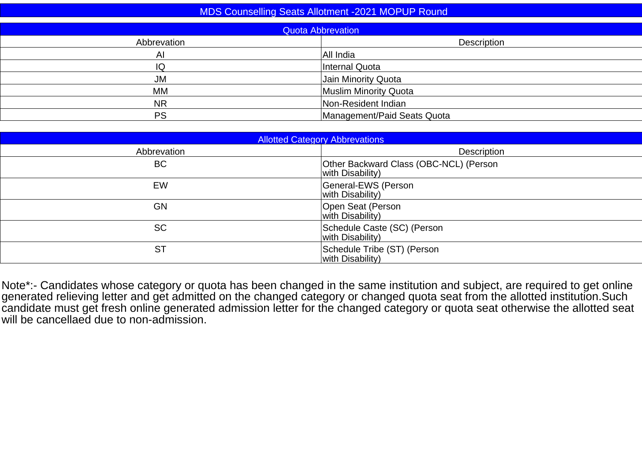| <b>MDS Counselling Seats Allotment -2021 MOPUP Round</b><br><b>Quota Abbrevation</b> |                             |  |  |  |
|--------------------------------------------------------------------------------------|-----------------------------|--|--|--|
|                                                                                      |                             |  |  |  |
| Al                                                                                   | All India                   |  |  |  |
| IQ                                                                                   | Internal Quota              |  |  |  |
| <b>JM</b>                                                                            | Jain Minority Quota         |  |  |  |
| MM                                                                                   | Muslim Minority Quota       |  |  |  |
| <b>NR</b>                                                                            | Non-Resident Indian         |  |  |  |
| <b>PS</b>                                                                            | Management/Paid Seats Quota |  |  |  |
|                                                                                      |                             |  |  |  |

| <b>Allotted Category Abbrevations</b> |                                                            |  |  |  |
|---------------------------------------|------------------------------------------------------------|--|--|--|
| Abbrevation                           | Description                                                |  |  |  |
| <b>BC</b>                             | Other Backward Class (OBC-NCL) (Person<br>with Disability) |  |  |  |
| EW                                    | General-EWS (Person<br>with Disability)                    |  |  |  |
| <b>GN</b>                             | Open Seat (Person<br>with Disability)                      |  |  |  |
| <b>SC</b>                             | Schedule Caste (SC) (Person<br>with Disability)            |  |  |  |
| <b>ST</b>                             | Schedule Tribe (ST) (Person<br>with Disability)            |  |  |  |

Note\*:- Candidates whose category or quota has been changed in the same institution and subject, are required to get online<br>generated relieving letter and get admitted on the changed category or changed quota seat from the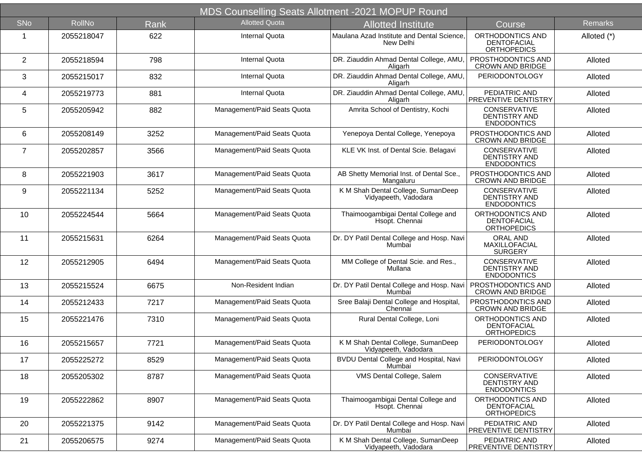| MDS Counselling Seats Allotment -2021 MOPUP Round |               |             |                             |                                                            |                                                              |                |
|---------------------------------------------------|---------------|-------------|-----------------------------|------------------------------------------------------------|--------------------------------------------------------------|----------------|
| SNo                                               | <b>RollNo</b> | <b>Rank</b> | <b>Allotted Quota</b>       | <b>Allotted Institute</b>                                  | Course                                                       | <b>Remarks</b> |
| 1                                                 | 2055218047    | 622         | <b>Internal Quota</b>       | Maulana Azad Institute and Dental Science.<br>New Delhi    | ORTHODONTICS AND<br><b>DENTOFACIAL</b><br><b>ORTHOPEDICS</b> | Alloted (*)    |
| $\overline{2}$                                    | 2055218594    | 798         | <b>Internal Quota</b>       | DR. Ziauddin Ahmad Dental College, AMU,<br>Aligarh         | PROSTHODONTICS AND<br><b>CROWN AND BRIDGE</b>                | Alloted        |
| 3                                                 | 2055215017    | 832         | <b>Internal Quota</b>       | DR. Ziauddin Ahmad Dental College, AMU<br>Aligarh          | <b>PERIODONTOLOGY</b>                                        | Alloted        |
| 4                                                 | 2055219773    | 881         | <b>Internal Quota</b>       | DR. Ziauddin Ahmad Dental College, AMU,<br>Aligarh         | PEDIATRIC AND<br><b>PREVENTIVE DENTISTRY</b>                 | Alloted        |
| 5                                                 | 2055205942    | 882         | Management/Paid Seats Quota | Amrita School of Dentistry, Kochi                          | CONSERVATIVE<br><b>DENTISTRY AND</b><br><b>ENDODONTICS</b>   | Alloted        |
| 6                                                 | 2055208149    | 3252        | Management/Paid Seats Quota | Yenepoya Dental College, Yenepoya                          | PROSTHODONTICS AND<br><b>CROWN AND BRIDGE</b>                | Alloted        |
| $\overline{7}$                                    | 2055202857    | 3566        | Management/Paid Seats Quota | KLE VK Inst. of Dental Scie. Belagavi                      | CONSERVATIVE<br><b>DENTISTRY AND</b><br><b>ENDODONTICS</b>   | Alloted        |
| 8                                                 | 2055221903    | 3617        | Management/Paid Seats Quota | AB Shetty Memorial Inst. of Dental Sce.,<br>Mangaluru      | PROSTHODONTICS AND<br><b>CROWN AND BRIDGE</b>                | Alloted        |
| 9                                                 | 2055221134    | 5252        | Management/Paid Seats Quota | K M Shah Dental College, SumanDeep<br>Vidyapeeth, Vadodara | CONSERVATIVE<br>DENTISTRY AND<br><b>ENDODONTICS</b>          | Alloted        |
| 10                                                | 2055224544    | 5664        | Management/Paid Seats Quota | Thaimoogambigai Dental College and<br>Hsopt. Chennai       | ORTHODONTICS AND<br>DENTOFACIAL<br><b>ORTHOPEDICS</b>        | Alloted        |
| 11                                                | 2055215631    | 6264        | Management/Paid Seats Quota | Dr. DY Patil Dental College and Hosp. Navi<br>Mumbai       | <b>ORAL AND</b><br>MAXILLOFACIAL<br><b>SURGERY</b>           | Alloted        |
| 12                                                | 2055212905    | 6494        | Management/Paid Seats Quota | MM College of Dental Scie. and Res.,<br>Mullana            | CONSERVATIVE<br>DENTISTRY AND<br><b>ENDODONTICS</b>          | Alloted        |
| 13                                                | 2055215524    | 6675        | Non-Resident Indian         | Dr. DY Patil Dental College and Hosp. Navi<br>Mumbai       | <b>PROSTHODONTICS AND</b><br><b>CROWN AND BRIDGE</b>         | Alloted        |
| 14                                                | 2055212433    | 7217        | Management/Paid Seats Quota | Sree Balaji Dental College and Hospital,<br>Chennai        | PROSTHODONTICS AND<br><b>CROWN AND BRIDGE</b>                | Alloted        |
| 15                                                | 2055221476    | 7310        | Management/Paid Seats Quota | Rural Dental College, Loni                                 | ORTHODONTICS AND<br><b>DENTOFACIAL</b><br><b>ORTHOPEDICS</b> | Alloted        |
| 16                                                | 2055215657    | 7721        | Management/Paid Seats Quota | K M Shah Dental College, SumanDeep<br>Vidyapeeth, Vadodara | <b>PERIODONTOLOGY</b>                                        | Alloted        |
| 17                                                | 2055225272    | 8529        | Management/Paid Seats Quota | BVDU Dental College and Hospital, Navi<br>Mumbai           | <b>PERIODONTOLOGY</b>                                        | Alloted        |
| 18                                                | 2055205302    | 8787        | Management/Paid Seats Quota | VMS Dental College, Salem                                  | CONSERVATIVE<br>DENTISTRY AND<br><b>ENDODONTICS</b>          | Alloted        |
| 19                                                | 2055222862    | 8907        | Management/Paid Seats Quota | Thaimoogambigai Dental College and<br>Hsopt. Chennai       | ORTHODONTICS AND<br>DENTOFACIAL<br><b>ORTHOPEDICS</b>        | Alloted        |
| 20                                                | 2055221375    | 9142        | Management/Paid Seats Quota | Dr. DY Patil Dental College and Hosp. Navi<br>Mumbai       | PEDIATRIC AND<br><b>PREVENTIVE DENTISTRY</b>                 | Alloted        |
| 21                                                | 2055206575    | 9274        | Management/Paid Seats Quota | K M Shah Dental College, SumanDeep<br>Vidyapeeth, Vadodara | PEDIATRIC AND<br><b>PREVENTIVE DENTISTRY</b>                 | Alloted        |